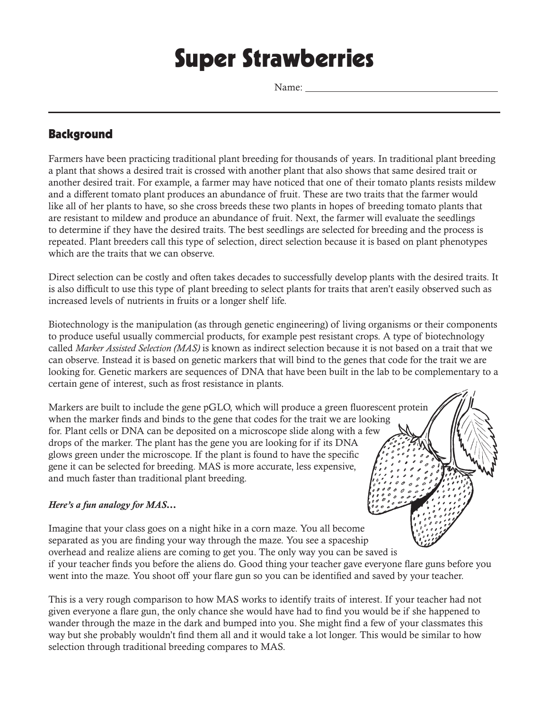# Super Strawberries

Name:

# **Background**

Farmers have been practicing traditional plant breeding for thousands of years. In traditional plant breeding a plant that shows a desired trait is crossed with another plant that also shows that same desired trait or another desired trait. For example, a farmer may have noticed that one of their tomato plants resists mildew and a different tomato plant produces an abundance of fruit. These are two traits that the farmer would like all of her plants to have, so she cross breeds these two plants in hopes of breeding tomato plants that are resistant to mildew and produce an abundance of fruit. Next, the farmer will evaluate the seedlings to determine if they have the desired traits. The best seedlings are selected for breeding and the process is repeated. Plant breeders call this type of selection, direct selection because it is based on plant phenotypes which are the traits that we can observe.

Direct selection can be costly and often takes decades to successfully develop plants with the desired traits. It is also difficult to use this type of plant breeding to select plants for traits that aren't easily observed such as increased levels of nutrients in fruits or a longer shelf life.

Biotechnology is the manipulation (as through genetic engineering) of living organisms or their components to produce useful usually commercial products, for example pest resistant crops. A type of biotechnology called *Marker Assisted Selection (MAS)* is known as indirect selection because it is not based on a trait that we can observe. Instead it is based on genetic markers that will bind to the genes that code for the trait we are looking for. Genetic markers are sequences of DNA that have been built in the lab to be complementary to a certain gene of interest, such as frost resistance in plants.

Markers are built to include the gene pGLO, which will produce a green fluorescent protein when the marker finds and binds to the gene that codes for the trait we are looking for. Plant cells or DNA can be deposited on a microscope slide along with a few drops of the marker. The plant has the gene you are looking for if its DNA glows green under the microscope. If the plant is found to have the specific gene it can be selected for breeding. MAS is more accurate, less expensive, and much faster than traditional plant breeding.

### *Here's a fun analogy for MAS…*

Imagine that your class goes on a night hike in a corn maze. You all become separated as you are finding your way through the maze. You see a spaceship overhead and realize aliens are coming to get you. The only way you can be saved is if your teacher finds you before the aliens do. Good thing your teacher gave everyone flare guns before you went into the maze. You shoot off your flare gun so you can be identified and saved by your teacher.

This is a very rough comparison to how MAS works to identify traits of interest. If your teacher had not given everyone a flare gun, the only chance she would have had to find you would be if she happened to wander through the maze in the dark and bumped into you. She might find a few of your classmates this way but she probably wouldn't find them all and it would take a lot longer. This would be similar to how selection through traditional breeding compares to MAS.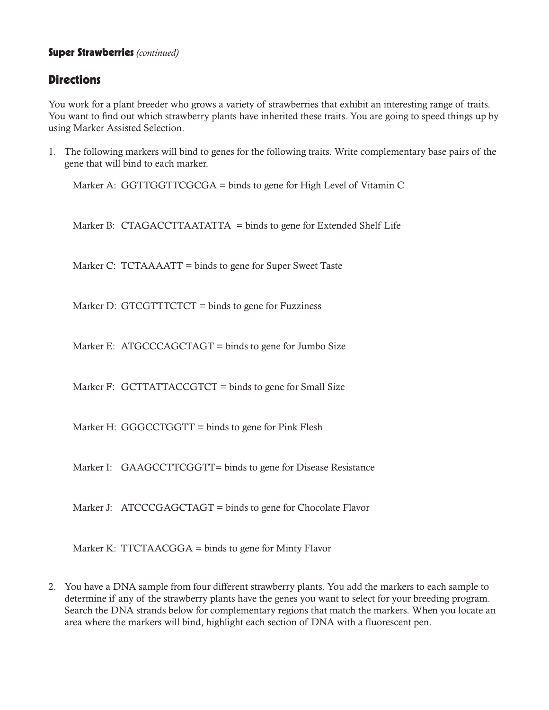## Super Strawberries *(continued)*

# **Directions**

You work for a plant breeder who grows a variety of strawberries that exhibit an interesting range of traits. You want to find out which strawberry plants have inherited these traits. You are going to speed things up by using Marker Assisted Selection.

1. The following markers will bind to genes for the following traits. Write complementary base pairs of the gene that will bind to each marker.

Marker A: GGTTGGTTCGCGA = binds to gene for High Level of Vitamin C

Marker B: CTAGACCTTAATATTA = binds to gene for Extended Shelf Life

Marker C: TCTAAAATT = binds to gene for Super Sweet Taste

Marker D: GTCGTTTCTCT = binds to gene for Fuzziness

Marker E: ATGCCCAGCTAGT = binds to gene for Jumbo Size

Marker F: GCTTATTACCGTCT = binds to gene for Small Size

Marker H: GGGCCTGGTT = binds to gene for Pink Flesh

Marker I: GAAGCCTTCGGTT= binds to gene for Disease Resistance

Marker J: ATCCCGAGCTAGT = binds to gene for Chocolate Flavor

Marker K: TTCTAACGGA = binds to gene for Minty Flavor

2. You have a DNA sample from four different strawberry plants. You add the markers to each sample to determine if any of the strawberry plants have the genes you want to select for your breeding program. Search the DNA strands below for complementary regions that match the markers. When you locate an area where the markers will bind, highlight each section of DNA with a fluorescent pen.